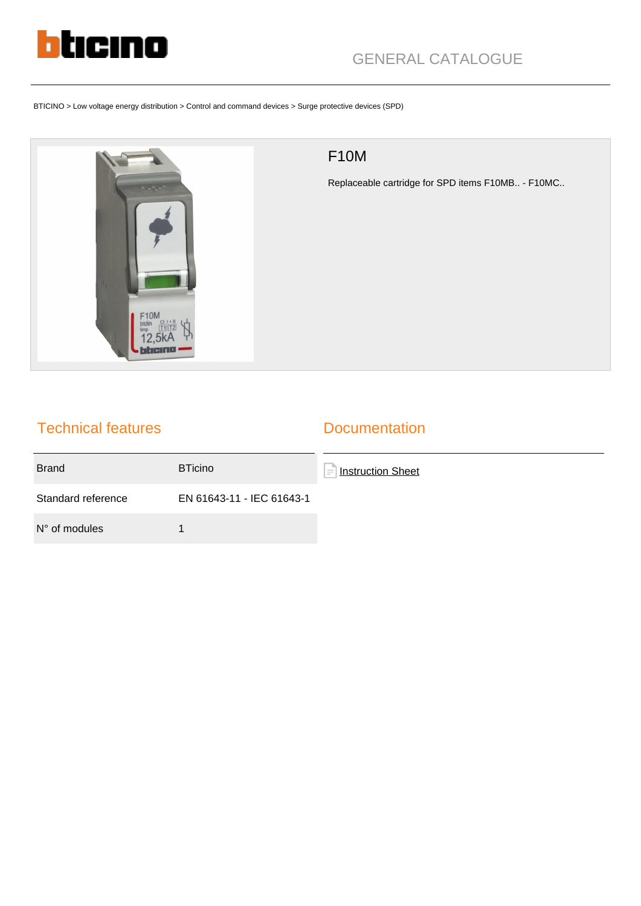

# GENERAL CATALOGUE

BTICINO > Low voltage energy distribution > Control and command devices > Surge protective devices (SPD)



## F10M

Replaceable cartridge for SPD items F10MB.. - F10MC..

### Technical features

#### **Documentation**

| <b>Brand</b>           | <b>BTicino</b>            | Instruction Sheet<br>$\equiv$ |
|------------------------|---------------------------|-------------------------------|
| Standard reference     | EN 61643-11 - IEC 61643-1 |                               |
| $N^{\circ}$ of modules |                           |                               |